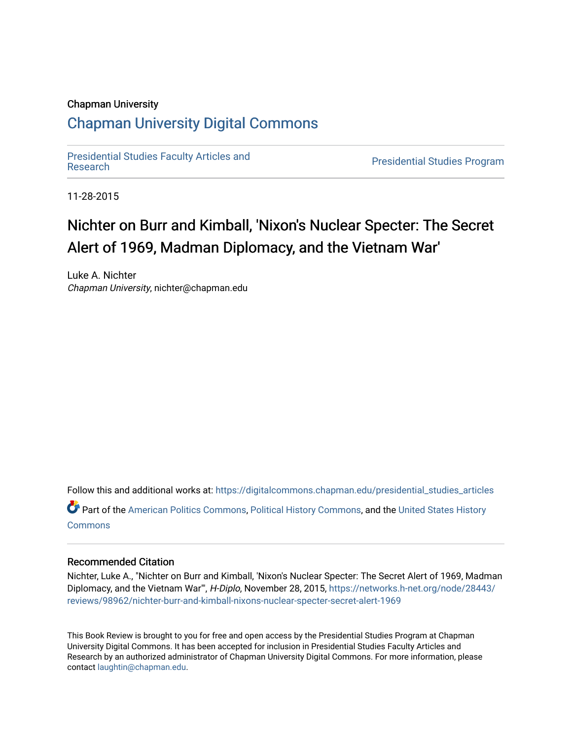#### Chapman University

# [Chapman University Digital Commons](https://digitalcommons.chapman.edu/)

[Presidential Studies Faculty Articles and](https://digitalcommons.chapman.edu/presidential_studies_articles) 

**Presidential Studies Program** 

11-28-2015

# Nichter on Burr and Kimball, 'Nixon's Nuclear Specter: The Secret Alert of 1969, Madman Diplomacy, and the Vietnam War'

Luke A. Nichter Chapman University, nichter@chapman.edu

Follow this and additional works at: [https://digitalcommons.chapman.edu/presidential\\_studies\\_articles](https://digitalcommons.chapman.edu/presidential_studies_articles?utm_source=digitalcommons.chapman.edu%2Fpresidential_studies_articles%2F17&utm_medium=PDF&utm_campaign=PDFCoverPages)  Part of the [American Politics Commons,](http://network.bepress.com/hgg/discipline/387?utm_source=digitalcommons.chapman.edu%2Fpresidential_studies_articles%2F17&utm_medium=PDF&utm_campaign=PDFCoverPages) [Political History Commons,](http://network.bepress.com/hgg/discipline/505?utm_source=digitalcommons.chapman.edu%2Fpresidential_studies_articles%2F17&utm_medium=PDF&utm_campaign=PDFCoverPages) and the [United States History](http://network.bepress.com/hgg/discipline/495?utm_source=digitalcommons.chapman.edu%2Fpresidential_studies_articles%2F17&utm_medium=PDF&utm_campaign=PDFCoverPages) **[Commons](http://network.bepress.com/hgg/discipline/495?utm_source=digitalcommons.chapman.edu%2Fpresidential_studies_articles%2F17&utm_medium=PDF&utm_campaign=PDFCoverPages)** 

## Recommended Citation

Nichter, Luke A., "Nichter on Burr and Kimball, 'Nixon's Nuclear Specter: The Secret Alert of 1969, Madman Diplomacy, and the Vietnam War'", H-Diplo, November 28, 2015, [https://networks.h-net.org/node/28443/](https://networks.h-net.org/node/28443/reviews/98962/nichter-burr-and-kimball-nixons-nuclear-specter-secret-alert-1969) [reviews/98962/nichter-burr-and-kimball-nixons-nuclear-specter-secret-alert-1969](https://networks.h-net.org/node/28443/reviews/98962/nichter-burr-and-kimball-nixons-nuclear-specter-secret-alert-1969) 

This Book Review is brought to you for free and open access by the Presidential Studies Program at Chapman University Digital Commons. It has been accepted for inclusion in Presidential Studies Faculty Articles and Research by an authorized administrator of Chapman University Digital Commons. For more information, please contact [laughtin@chapman.edu](mailto:laughtin@chapman.edu).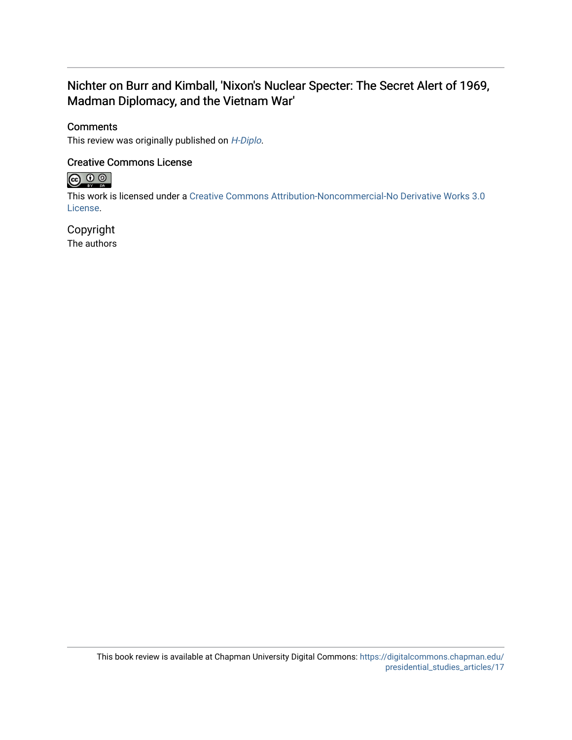# Nichter on Burr and Kimball, 'Nixon's Nuclear Specter: The Secret Alert of 1969, Madman Diplomacy, and the Vietnam War'

## **Comments**

This review was originally published on [H-Diplo](https://networks.h-net.org/node/28443/reviews/98962/nichter-burr-and-kimball-nixons-nuclear-specter-secret-alert-1969).

## Creative Commons License



This work is licensed under a [Creative Commons Attribution-Noncommercial-No Derivative Works 3.0](https://creativecommons.org/licenses/by-nc-nd/3.0/) [License](https://creativecommons.org/licenses/by-nc-nd/3.0/).

# Copyright

The authors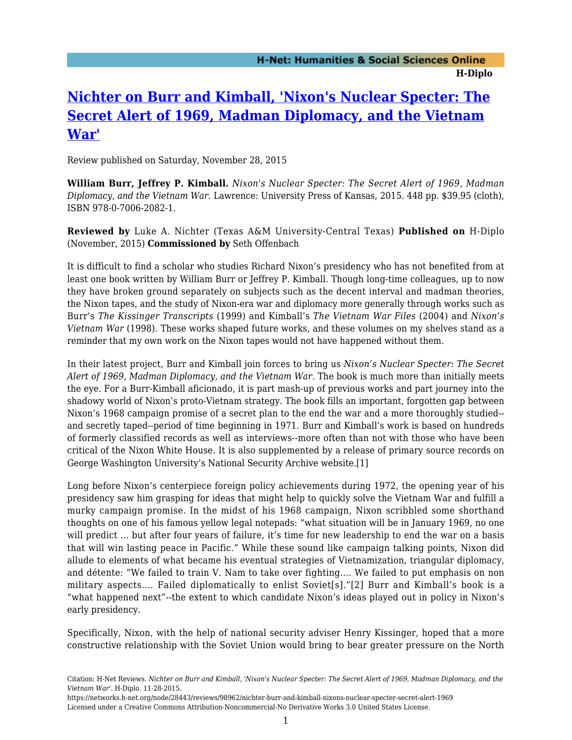# **[Nichter on Burr and Kimball, 'Nixon's Nuclear Specter: The](https://networks.h-net.org/node/28443/reviews/98962/nichter-burr-and-kimball-nixons-nuclear-specter-secret-alert-1969) [Secret Alert of 1969, Madman Diplomacy, and the Vietnam](https://networks.h-net.org/node/28443/reviews/98962/nichter-burr-and-kimball-nixons-nuclear-specter-secret-alert-1969) [War'](https://networks.h-net.org/node/28443/reviews/98962/nichter-burr-and-kimball-nixons-nuclear-specter-secret-alert-1969)**

Review published on Saturday, November 28, 2015

**William Burr, Jeffrey P. Kimball.** *Nixon's Nuclear Specter: The Secret Alert of 1969, Madman Diplomacy, and the Vietnam War.* Lawrence: University Press of Kansas, 2015. 448 pp. \$39.95 (cloth), ISBN 978-0-7006-2082-1.

**Reviewed by** Luke A. Nichter (Texas A&M University-Central Texas) **Published on** H-Diplo (November, 2015) **Commissioned by** Seth Offenbach

It is difficult to find a scholar who studies Richard Nixon's presidency who has not benefited from at least one book written by William Burr or Jeffrey P. Kimball. Though long-time colleagues, up to now they have broken ground separately on subjects such as the decent interval and madman theories, the Nixon tapes, and the study of Nixon-era war and diplomacy more generally through works such as Burr's *The Kissinger Transcripts* (1999) and Kimball's *The Vietnam War Files* (2004) and *Nixon's Vietnam War* (1998). These works shaped future works, and these volumes on my shelves stand as a reminder that my own work on the Nixon tapes would not have happened without them.

In their latest project, Burr and Kimball join forces to bring us *Nixon's Nuclear Specter: The Secret Alert of 1969, Madman Diplomacy, and the Vietnam War.* The book is much more than initially meets the eye. For a Burr-Kimball aficionado, it is part mash-up of previous works and part journey into the shadowy world of Nixon's proto-Vietnam strategy. The book fills an important, forgotten gap between Nixon's 1968 campaign promise of a secret plan to the end the war and a more thoroughly studied- and secretly taped--period of time beginning in 1971. Burr and Kimball's work is based on hundreds of formerly classified records as well as interviews--more often than not with those who have been critical of the Nixon White House. It is also supplemented by a release of primary source records on George Washington University's National Security Archive website.[1]

Long before Nixon's centerpiece foreign policy achievements during 1972, the opening year of his presidency saw him grasping for ideas that might help to quickly solve the Vietnam War and fulfill a murky campaign promise. In the midst of his 1968 campaign, Nixon scribbled some shorthand thoughts on one of his famous yellow legal notepads: "what situation will be in January 1969, no one will predict ... but after four years of failure, it's time for new leadership to end the war on a basis that will win lasting peace in Pacific." While these sound like campaign talking points, Nixon did allude to elements of what became his eventual strategies of Vietnamization, triangular diplomacy, and détente: "We failed to train V. Nam to take over fighting.… We failed to put emphasis on non military aspects.… Failed diplomatically to enlist Soviet[s]."[2] Burr and Kimball's book is a "what happened next"--the extent to which candidate Nixon's ideas played out in policy in Nixon's early presidency.

Specifically, Nixon, with the help of national security adviser Henry Kissinger, hoped that a more constructive relationship with the Soviet Union would bring to bear greater pressure on the North

Citation: H-Net Reviews. *Nichter on Burr and Kimball, 'Nixon's Nuclear Specter: The Secret Alert of 1969, Madman Diplomacy, and the Vietnam War'*. H-Diplo. 11-28-2015.

https://networks.h-net.org/node/28443/reviews/98962/nichter-burr-and-kimball-nixons-nuclear-specter-secret-alert-1969 Licensed under a Creative Commons Attribution-Noncommercial-No Derivative Works 3.0 United States License.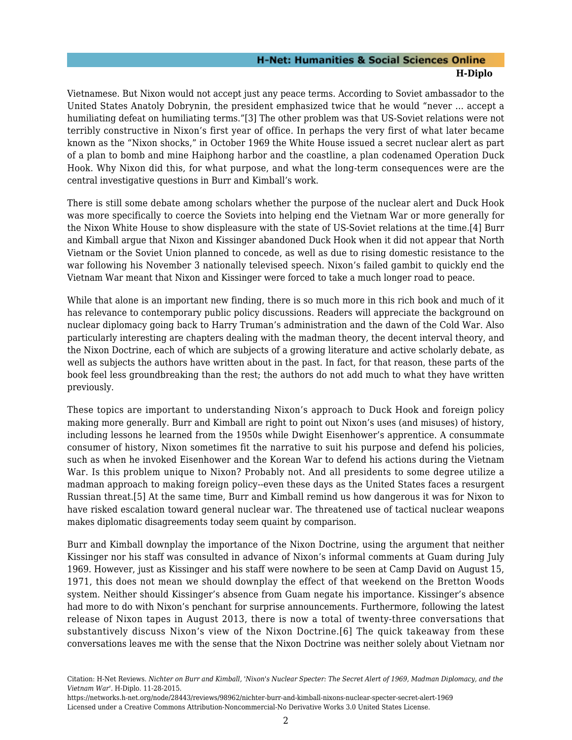### **H-Net: Humanities & Social Sciences Online H-Diplo**

Vietnamese. But Nixon would not accept just any peace terms. According to Soviet ambassador to the United States Anatoly Dobrynin, the president emphasized twice that he would "never … accept a humiliating defeat on humiliating terms."[3] The other problem was that US-Soviet relations were not terribly constructive in Nixon's first year of office. In perhaps the very first of what later became known as the "Nixon shocks," in October 1969 the White House issued a secret nuclear alert as part of a plan to bomb and mine Haiphong harbor and the coastline, a plan codenamed Operation Duck Hook. Why Nixon did this, for what purpose, and what the long-term consequences were are the central investigative questions in Burr and Kimball's work.

There is still some debate among scholars whether the purpose of the nuclear alert and Duck Hook was more specifically to coerce the Soviets into helping end the Vietnam War or more generally for the Nixon White House to show displeasure with the state of US-Soviet relations at the time.[4] Burr and Kimball argue that Nixon and Kissinger abandoned Duck Hook when it did not appear that North Vietnam or the Soviet Union planned to concede, as well as due to rising domestic resistance to the war following his November 3 nationally televised speech. Nixon's failed gambit to quickly end the Vietnam War meant that Nixon and Kissinger were forced to take a much longer road to peace.

While that alone is an important new finding, there is so much more in this rich book and much of it has relevance to contemporary public policy discussions. Readers will appreciate the background on nuclear diplomacy going back to Harry Truman's administration and the dawn of the Cold War. Also particularly interesting are chapters dealing with the madman theory, the decent interval theory, and the Nixon Doctrine, each of which are subjects of a growing literature and active scholarly debate, as well as subjects the authors have written about in the past. In fact, for that reason, these parts of the book feel less groundbreaking than the rest; the authors do not add much to what they have written previously.

These topics are important to understanding Nixon's approach to Duck Hook and foreign policy making more generally. Burr and Kimball are right to point out Nixon's uses (and misuses) of history, including lessons he learned from the 1950s while Dwight Eisenhower's apprentice. A consummate consumer of history, Nixon sometimes fit the narrative to suit his purpose and defend his policies, such as when he invoked Eisenhower and the Korean War to defend his actions during the Vietnam War. Is this problem unique to Nixon? Probably not. And all presidents to some degree utilize a madman approach to making foreign policy--even these days as the United States faces a resurgent Russian threat.[5] At the same time, Burr and Kimball remind us how dangerous it was for Nixon to have risked escalation toward general nuclear war. The threatened use of tactical nuclear weapons makes diplomatic disagreements today seem quaint by comparison.

Burr and Kimball downplay the importance of the Nixon Doctrine, using the argument that neither Kissinger nor his staff was consulted in advance of Nixon's informal comments at Guam during July 1969. However, just as Kissinger and his staff were nowhere to be seen at Camp David on August 15, 1971, this does not mean we should downplay the effect of that weekend on the Bretton Woods system. Neither should Kissinger's absence from Guam negate his importance. Kissinger's absence had more to do with Nixon's penchant for surprise announcements. Furthermore, following the latest release of Nixon tapes in August 2013, there is now a total of twenty-three conversations that substantively discuss Nixon's view of the Nixon Doctrine.[6] The quick takeaway from these conversations leaves me with the sense that the Nixon Doctrine was neither solely about Vietnam nor

Citation: H-Net Reviews. *Nichter on Burr and Kimball, 'Nixon's Nuclear Specter: The Secret Alert of 1969, Madman Diplomacy, and the Vietnam War'*. H-Diplo. 11-28-2015.

https://networks.h-net.org/node/28443/reviews/98962/nichter-burr-and-kimball-nixons-nuclear-specter-secret-alert-1969 Licensed under a Creative Commons Attribution-Noncommercial-No Derivative Works 3.0 United States License.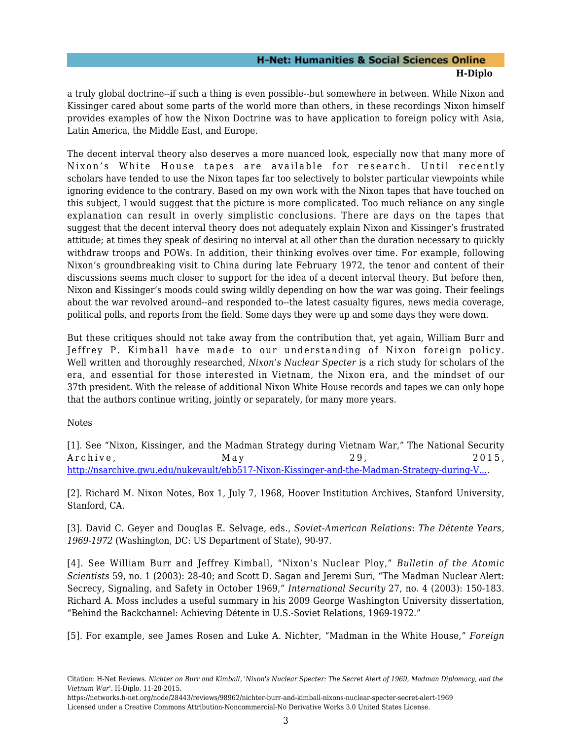#### **H-Net: Humanities & Social Sciences Online H-Diplo**

a truly global doctrine--if such a thing is even possible--but somewhere in between. While Nixon and Kissinger cared about some parts of the world more than others, in these recordings Nixon himself provides examples of how the Nixon Doctrine was to have application to foreign policy with Asia, Latin America, the Middle East, and Europe.

The decent interval theory also deserves a more nuanced look, especially now that many more of Nixon's White House tapes are available for research. Until recently scholars have tended to use the Nixon tapes far too selectively to bolster particular viewpoints while ignoring evidence to the contrary. Based on my own work with the Nixon tapes that have touched on this subject, I would suggest that the picture is more complicated. Too much reliance on any single explanation can result in overly simplistic conclusions. There are days on the tapes that suggest that the decent interval theory does not adequately explain Nixon and Kissinger's frustrated attitude; at times they speak of desiring no interval at all other than the duration necessary to quickly withdraw troops and POWs. In addition, their thinking evolves over time. For example, following Nixon's groundbreaking visit to China during late February 1972, the tenor and content of their discussions seems much closer to support for the idea of a decent interval theory. But before then, Nixon and Kissinger's moods could swing wildly depending on how the war was going. Their feelings about the war revolved around--and responded to--the latest casualty figures, news media coverage, political polls, and reports from the field. Some days they were up and some days they were down.

But these critiques should not take away from the contribution that, yet again, William Burr and Jeffrey P. Kimball have made to our understanding of Nixon foreign policy. Well written and thoroughly researched, *Nixon's Nuclear Specter* is a rich study for scholars of the era, and essential for those interested in Vietnam, the Nixon era, and the mindset of our 37th president. With the release of additional Nixon White House records and tapes we can only hope that the authors continue writing, jointly or separately, for many more years.

Notes

[1]. See "Nixon, Kissinger, and the Madman Strategy during Vietnam War," The National Security Archive, May May 29, 2015, [http://nsarchive.gwu.edu/nukevault/ebb517-Nixon-Kissinger-and-the-Madman-Strategy-during-V....](http://nsarchive.gwu.edu/nukevault/ebb517-Nixon-Kissinger-and-the-Madman-Strategy-during-Vietnam-War/)

[2]. Richard M. Nixon Notes, Box 1, July 7, 1968, Hoover Institution Archives, Stanford University, Stanford, CA.

[3]. David C. Geyer and Douglas E. Selvage, eds., *Soviet-American Relations: The Détente Years, 1969-1972* (Washington, DC: US Department of State), 90-97.

[4]. See William Burr and Jeffrey Kimball, "Nixon's Nuclear Ploy," *Bulletin of the Atomic Scientists* 59, no. 1 (2003): 28-40; and Scott D. Sagan and Jeremi Suri, "The Madman Nuclear Alert: Secrecy, Signaling, and Safety in October 1969," *International Security* 27, no. 4 (2003): 150-183. Richard A. Moss includes a useful summary in his 2009 George Washington University dissertation, "Behind the Backchannel: Achieving Détente in U.S.-Soviet Relations, 1969-1972."

[5]. For example, see James Rosen and Luke A. Nichter, "Madman in the White House," *Foreign*

Citation: H-Net Reviews. *Nichter on Burr and Kimball, 'Nixon's Nuclear Specter: The Secret Alert of 1969, Madman Diplomacy, and the Vietnam War'*. H-Diplo. 11-28-2015.